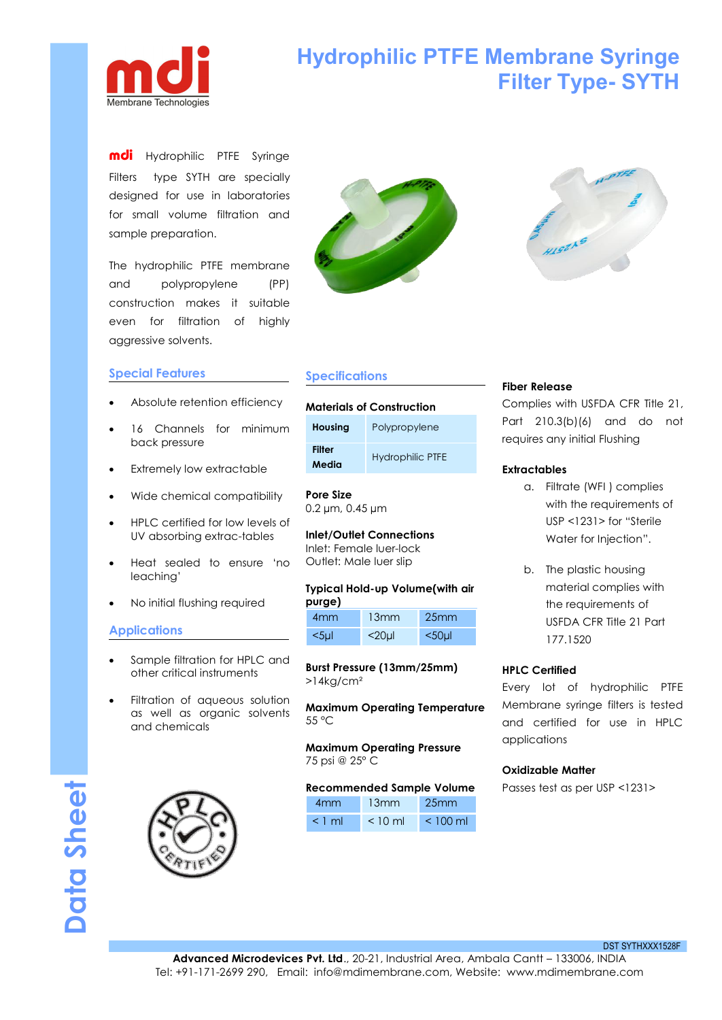

# **Hydrophilic PTFE Membrane Syringe Filter Type- SYTH**

mdi Hydrophilic PTFE Syringe Filters type SYTH are specially designed for use in laboratories for small volume filtration and sample preparation.

The hydrophilic PTFE membrane and polypropylene (PP) construction makes it suitable even for filtration of highly aggressive solvents.

### **Special Features**

- Absolute retention efficiency
- 16 Channels for minimum back pressure
- Extremely low extractable
- Wide chemical compatibility
- HPLC certified for low levels of UV absorbing extrac-tables
- Heat sealed to ensure 'no leaching'
- No initial flushing required

#### **Applications**

- Sample filtration for HPLC and other critical instruments
- Filtration of aqueous solution as well as organic solvents and chemicals







## **Specifications**

#### **Materials of Construction**

| <b>Filter</b><br>Media | <b>Hydrophilic PTFE</b> | <b>Extractable</b>       |
|------------------------|-------------------------|--------------------------|
| Housing                | Polypropylene           | Part 210.<br>requires ar |

**Pore Size** 0.2 µm, 0.45 µm

## **Inlet/Outlet Connections** Inlet: Female luer-lock

Outlet: Male luer slip

#### **Typical Hold-up Volume(with air purge)**

**Burst Pressure (13mm/25mm)** >14kg/cm²

**Maximum Operating Temperature** 55 °C

**Maximum Operating Pressure** 75 psi @ 25° C

#### **Recommended Sample Volume**

| 4mm 13mm 25mm                          |  |
|----------------------------------------|--|
| $\leq$ 1 ml $\leq$ 10 ml $\leq$ 100 ml |  |

#### **Fiber Release**

Complies with USFDA CFR Title 21, Part 210.3(b)(6) and do not requires any initial Flushing

#### **Extractables**

- a. Filtrate (WFI ) complies with the requirements of USP <1231> for "Sterile Water for Injection".
- b. The plastic housing material complies with the requirements of 177.1520

#### **HPLC Certified**

Every lot of hydrophilic PTFE Membrane syringe filters is tested and certified for use in HPLC applications

#### **Oxidizable Matter**

Passes test as per USP <1231>

**DataSheet**

DST SYTHXXX1528F